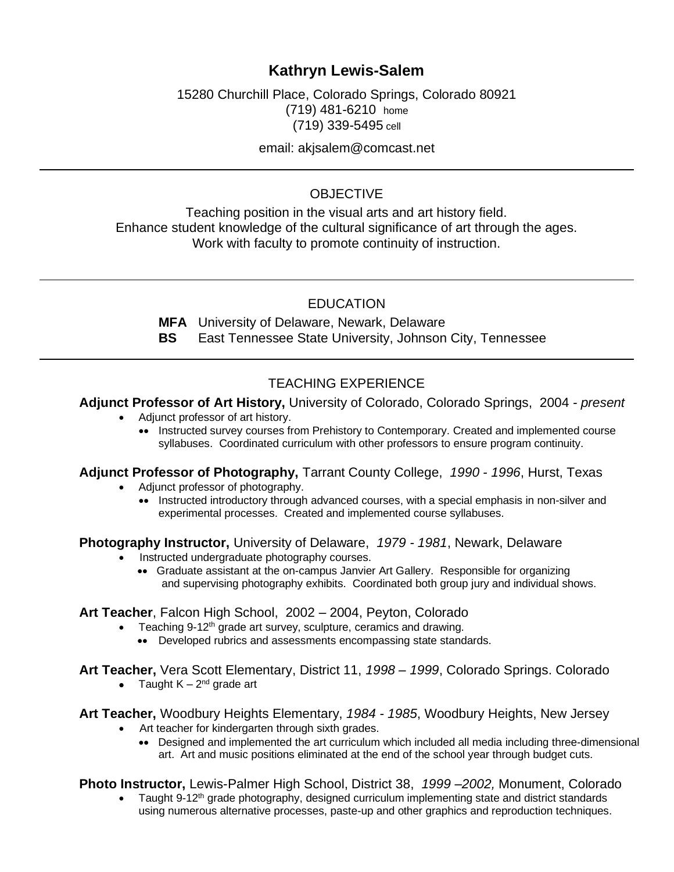# **Kathryn Lewis-Salem**

15280 Churchill Place, Colorado Springs, Colorado 80921 (719) 481-6210 home (719) 339-5495 cell

email: akjsalem@comcast.net

### **OBJECTIVE**

Teaching position in the visual arts and art history field. Enhance student knowledge of the cultural significance of art through the ages. Work with faculty to promote continuity of instruction.

### **EDUCATION**

**MFA** University of Delaware, Newark, Delaware

**BS** East Tennessee State University, Johnson City, Tennessee

# TEACHING EXPERIENCE

#### **Adjunct Professor of Art History,** University of Colorado, Colorado Springs, 2004 *- present*

- Adjunct professor of art history.
	- •• Instructed survey courses from Prehistory to Contemporary. Created and implemented course syllabuses. Coordinated curriculum with other professors to ensure program continuity.

## **Adjunct Professor of Photography,** Tarrant County College, *1990 - 1996*, Hurst, Texas

- Adjunct professor of photography.
	- •• Instructed introductory through advanced courses, with a special emphasis in non-silver and experimental processes. Created and implemented course syllabuses.

**Photography Instructor,** University of Delaware, *1979 - 1981*, Newark, Delaware

- Instructed undergraduate photography courses.
	- •• Graduate assistant at the on-campus Janvier Art Gallery. Responsible for organizing and supervising photography exhibits. Coordinated both group jury and individual shows.

#### **Art Teacher**, Falcon High School, 2002 – 2004, Peyton, Colorado

- Teaching 9-12<sup>th</sup> grade art survey, sculpture, ceramics and drawing.
	- •• Developed rubrics and assessments encompassing state standards.

#### **Art Teacher,** Vera Scott Elementary, District 11, *1998 – 1999*, Colorado Springs. Colorado

• Taught  $K - 2<sup>nd</sup>$  grade art

**Art Teacher,** Woodbury Heights Elementary, *1984 - 1985*, Woodbury Heights, New Jersey

- Art teacher for kindergarten through sixth grades.
	- •• Designed and implemented the art curriculum which included all media including three-dimensional art. Art and music positions eliminated at the end of the school year through budget cuts.

**Photo Instructor,** Lewis-Palmer High School, District 38, *1999 –2002,* Monument, Colorado

Taught 9-12<sup>th</sup> grade photography, designed curriculum implementing state and district standards using numerous alternative processes, paste-up and other graphics and reproduction techniques.